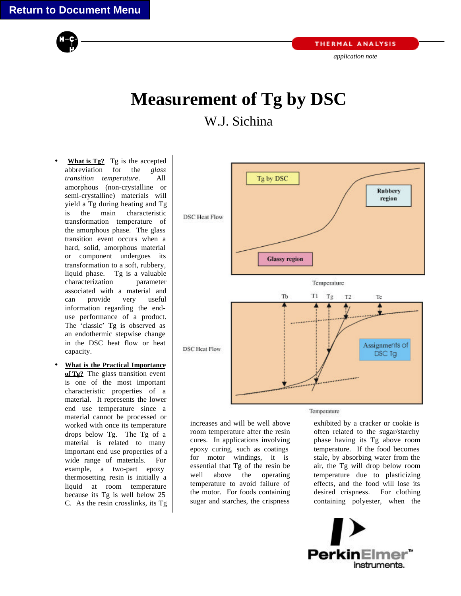

*application note*

## **Measurement of Tg by DSC**

## W.J. Sichina

- **What is Tg?** Tg is the accepted abbreviation for the *glass transition temperature*. All amorphous (non-crystalline or semi-crystalline) materials will yield a Tg during heating and Tg is the main characteristic transformation temperature of the amorphous phase. The glass transition event occurs when a hard, solid, amorphous material or component undergoes its transformation to a soft, rubbery, liquid phase. Tg is a valuable characterization parameter associated with a material and can provide very useful information regarding the enduse performance of a product. The 'classic' Tg is observed as an endothermic stepwise change in the DSC heat flow or heat capacity.
- **What is the Practical Importance of Tg?** The glass transition event is one of the most important characteristic properties of a material. It represents the lower end use temperature since a material cannot be processed or worked with once its temperature drops below Tg. The Tg of a material is related to many important end use properties of a wide range of materials. For example, a two-part epoxy thermosetting resin is initially a liquid at room temperature because its Tg is well below 25 C. As the resin crosslinks, its Tg



## Temperature

increases and will be well above room temperature after the resin cures. In applications involving epoxy curing, such as coatings for motor windings, it is essential that Tg of the resin be well above the operating temperature to avoid failure of the motor. For foods containing sugar and starches, the crispness

exhibited by a cracker or cookie is often related to the sugar/starchy phase having its Tg above room temperature. If the food becomes stale, by absorbing water from the air, the Tg will drop below room temperature due to plasticizing effects, and the food will lose its desired crispness. For clothing containing polyester, when the

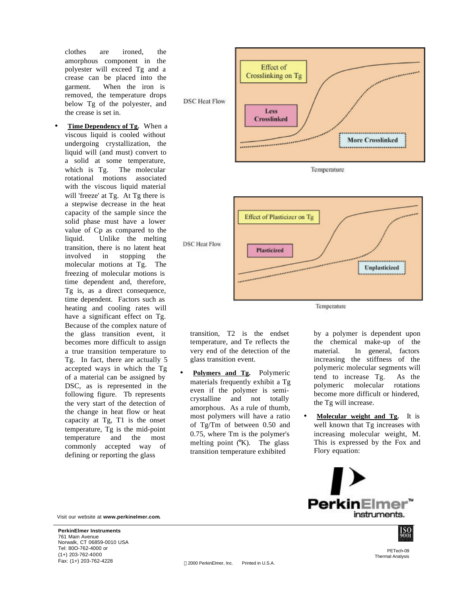clothes are ironed, the amorphous component in the polyester will exceed Tg and a crease can be placed into the garment. When the iron is removed, the temperature drops below Tg of the polyester, and the crease is set in.

**Time Dependency of Tg.** When a viscous liquid is cooled without undergoing crystallization, the liquid will (and must) convert to a solid at some temperature, which is Tg. The molecular rotational motions associated with the viscous liquid material will 'freeze' at Tg. At Tg there is a stepwise decrease in the heat capacity of the sample since the solid phase must have a lower value of Cp as compared to the liquid. Unlike the melting transition, there is no latent heat involved in stopping the molecular motions at Tg. The freezing of molecular motions is time dependent and, therefore, Tg is, as a direct consequence, time dependent. Factors such as heating and cooling rates will have a significant effect on Tg. Because of the complex nature of the glass transition event, it becomes more difficult to assign a true transition temperature to Tg. In fact, there are actually 5 accepted ways in which the Tg of a material can be assigned by DSC, as is represented in the following figure. Tb represents the very start of the detection of the change in heat flow or heat capacity at Tg, T1 is the onset temperature, Tg is the mid-point temperature and the most commonly accepted way of defining or reporting the glass





Temperature

transition, T2 is the endset temperature, and Te reflects the very end of the detection of the glass transition event.

• **Polymers and Tg.** Polymeric materials frequently exhibit a Tg even if the polymer is semicrystalline and not totally amorphous. As a rule of thumb, most polymers will have a ratio of Tg/Tm of between 0.50 and 0.75, where Tm is the polymer's melting point  $(X)$ . The glass transition temperature exhibited

by a polymer is dependent upon the chemical make-up of the material. In general, factors increasing the stiffness of the polymeric molecular segments will tend to increase Tg. As the polymeric molecular rotations become more difficult or hindered, the Tg will increase.

• **Molecular weight and Tg.** It is well known that Tg increases with increasing molecular weight, M. This is expressed by the Fox and Flory equation:



Visit our website at **www.perkinelmer.com.**

**PerkinElmer Instruments** 761 Main Avenue Norwalk, CT 06859-0010 USA Tel: 80O-762-4000 or (1+) 203-762-4000 Fax: (1+) 203-762-4228 2000 PerkinElmer, Inc. Printed in U.S.A.

PETech-09 Thermal Analysis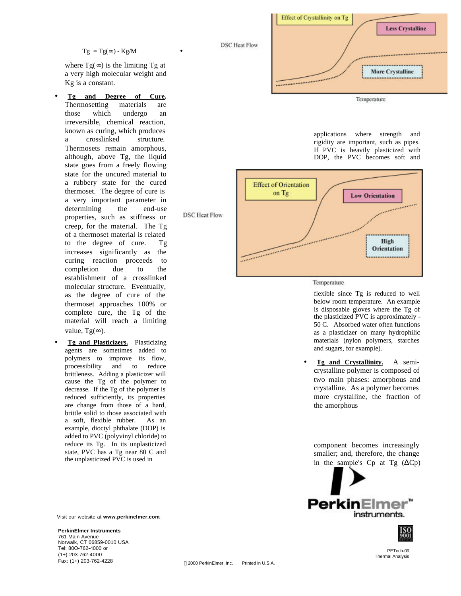$Tg = Tg(\infty) - Kg/M$ 

•

**DSC** Heat Flow

where  $Tg(\infty)$  is the limiting Tg at a very high molecular weight and Kg is a constant.

- **Tg and Degree of Cure.** Thermosetting materials are those which undergo an irreversible, chemical reaction, known as curing, which produces a crosslinked structure. Thermosets remain amorphous, although, above Tg, the liquid state goes from a freely flowing state for the uncured material to a rubbery state for the cured thermoset. The degree of cure is a very important parameter in determining the end-use properties, such as stiffness or creep, for the material. The Tg of a thermoset material is related to the degree of cure. Tg increases significantly as the curing reaction proceeds to completion due to the establishment of a crosslinked molecular structure. Eventually, as the degree of cure of the thermoset approaches 100% or complete cure, the Tg of the material will reach a limiting value, Tg( $\infty$ ).
- **Tg and Plasticizers.** Plasticizing agents are sometimes added to polymers to improve its flow, processibility and to reduce brittleness. Adding a plasticizer will cause the Tg of the polymer to decrease. If the Tg of the polymer is reduced sufficiently, its properties are change from those of a hard, brittle solid to those associated with a soft, flexible rubber. As an example, dioctyl phthalate (DOP) is added to PVC (polyvinyl chloride) to reduce its Tg. In its unplasticized state, PVC has a Tg near 80 C and the unplasticized PVC is used in

Visit our website at **www.perkinelmer.com.**

**PerkinElmer Instruments** 761 Main Avenue Norwalk, CT 06859-0010 USA Tel: 80O-762-4000 or (1+) 203-762-4000 Fax: (1+) 203-762-4228 2000 PerkinElmer, Inc. Printed in U.S.A.



applications where strength and rigidity are important, such as pipes. If PVC is heavily plasticized with DOP, the PVC becomes soft and



Temperature

flexible since Tg is reduced to well below room temperature. An example is disposable gloves where the Tg of the plasticized PVC is approximately - 50 C. Absorbed water often functions as a plasticizer on many hydrophilic materials (nylon polymers, starches and sugars, for example).

• **Tg and Crystallinity.** A semicrystalline polymer is composed of two main phases: amorphous and crystalline. As a polymer becomes more crystalline, the fraction of the amorphous

component becomes increasingly smaller; and, therefore, the change in the sample's Cp at Tg  $(\Delta Cp)$ 





PETech-09 Thermal Analysis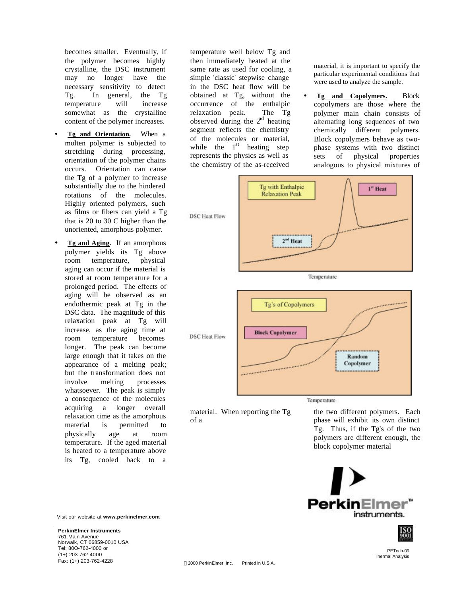becomes smaller. Eventually, if the polymer becomes highly crystalline, the DSC instrument may no longer have the necessary sensitivity to detect Tg. In general, the Tg temperature will increase somewhat as the crystalline content of the polymer increases.

- **Tg and Orientation.** When a molten polymer is subjected to stretching during processing, orientation of the polymer chains occurs. Orientation can cause the Tg of a polymer to increase substantially due to the hindered rotations of the molecules. Highly oriented polymers, such as films or fibers can yield a Tg that is 20 to 30 C higher than the unoriented, amorphous polymer.
- **Tg and Aging.** If an amorphous polymer yields its Tg above room temperature, physical aging can occur if the material is stored at room temperature for a prolonged period. The effects of aging will be observed as an endothermic peak at Tg in the DSC data. The magnitude of this relaxation peak at Tg will increase, as the aging time at room temperature becomes longer. The peak can become large enough that it takes on the appearance of a melting peak; but the transformation does not involve melting processes whatsoever. The peak is simply a consequence of the molecules acquiring a longer overall relaxation time as the amorphous material is permitted to physically age at room temperature. If the aged material is heated to a temperature above its Tg, cooled back to a

Visit our website at **www.perkinelmer.com.**

**PerkinElmer Instruments** 761 Main Avenue Norwalk, CT 06859-0010 USA Tel: 80O-762-4000 or (1+) 203-762-4000 Fax: (1+) 203-762-4228 2000 PerkinElmer, Inc. Printed in U.S.A.

temperature well below Tg and then immediately heated at the same rate as used for cooling, a simple 'classic' stepwise change in the DSC heat flow will be obtained at Tg, without the occurrence of the enthalpic relaxation peak. The Tg observed during the  $2<sup>nd</sup>$  heating segment reflects the chemistry of the molecules or material, while the  $1<sup>st</sup>$  heating step represents the physics as well as the chemistry of the as-received

material, it is important to specify the particular experimental conditions that were used to analyze the sample.

• **Tg and Copolymers.** Block copolymers are those where the polymer main chain consists of alternating long sequences of two chemically different polymers. Block copolymers behave as twophase systems with two distinct sets of physical properties analogous to physical mixtures of



Temperature

the two different polymers. Each phase will exhibit its own distinct Tg. Thus, if the Tg's of the two polymers are different enough, the block copolymer material





PETech-09 Thermal Analysis

material. When reporting the Tg

of a